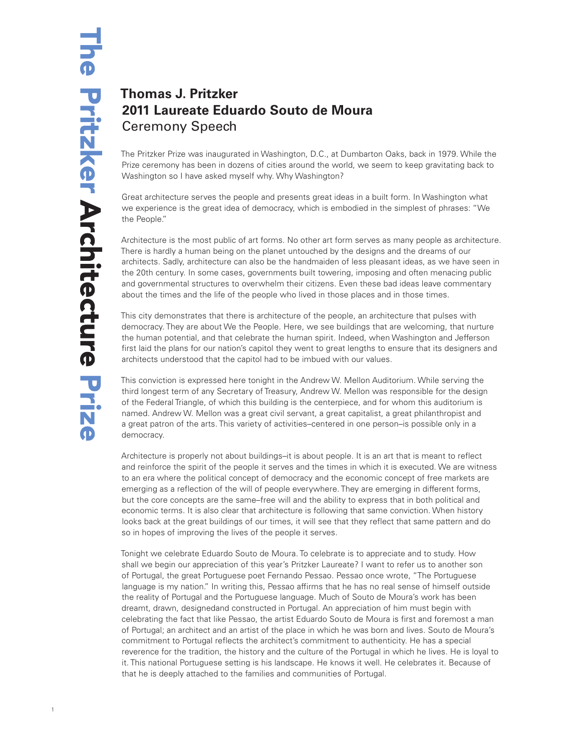## **Thomas J. Pritzker 2011 Laureate Eduardo Souto de Moura** Ceremony Speech

The Pritzker Prize was inaugurated in Washington, D.C., at Dumbarton Oaks, back in 1979. While the Prize ceremony has been in dozens of cities around the world, we seem to keep gravitating back to Washington so I have asked myself why. Why Washington?

Great architecture serves the people and presents great ideas in a built form. In Washington what we experience is the great idea of democracy, which is embodied in the simplest of phrases: "We the People."

Architecture is the most public of art forms. No other art form serves as many people as architecture. There is hardly a human being on the planet untouched by the designs and the dreams of our architects. Sadly, architecture can also be the handmaiden of less pleasant ideas, as we have seen in the 20th century. In some cases, governments built towering, imposing and often menacing public and governmental structures to overwhelm their citizens. Even these bad ideas leave commentary about the times and the life of the people who lived in those places and in those times.

This city demonstrates that there is architecture of the people, an architecture that pulses with democracy. They are about We the People. Here, we see buildings that are welcoming, that nurture the human potential, and that celebrate the human spirit. Indeed, when Washington and Jefferson first laid the plans for our nation's capitol they went to great lengths to ensure that its designers and architects understood that the capitol had to be imbued with our values.

This conviction is expressed here tonight in the Andrew W. Mellon Auditorium. While serving the third longest term of any Secretary of Treasury, Andrew W. Mellon was responsible for the design of the Federal Triangle, of which this building is the centerpiece, and for whom this auditorium is named. Andrew W. Mellon was a great civil servant, a great capitalist, a great philanthropist and a great patron of the arts. This variety of activities–centered in one person–is possible only in a democracy.

Architecture is properly not about buildings–it is about people. It is an art that is meant to reflect and reinforce the spirit of the people it serves and the times in which it is executed. We are witness to an era where the political concept of democracy and the economic concept of free markets are emerging as a reflection of the will of people everywhere. They are emerging in different forms, but the core concepts are the same–free will and the ability to express that in both political and economic terms. It is also clear that architecture is following that same conviction. When history looks back at the great buildings of our times, it will see that they reflect that same pattern and do so in hopes of improving the lives of the people it serves.

Tonight we celebrate Eduardo Souto de Moura. To celebrate is to appreciate and to study. How shall we begin our appreciation of this year's Pritzker Laureate? I want to refer us to another son of Portugal, the great Portuguese poet Fernando Pessao. Pessao once wrote, "The Portuguese language is my nation." In writing this, Pessao affirms that he has no real sense of himself outside the reality of Portugal and the Portuguese language. Much of Souto de Moura's work has been dreamt, drawn, designedand constructed in Portugal. An appreciation of him must begin with celebrating the fact that like Pessao, the artist Eduardo Souto de Moura is first and foremost a man of Portugal; an architect and an artist of the place in which he was born and lives. Souto de Moura's commitment to Portugal reflects the architect's commitment to authenticity. He has a special reverence for the tradition, the history and the culture of the Portugal in which he lives. He is loyal to it. This national Portuguese setting is his landscape. He knows it well. He celebrates it. Because of that he is deeply attached to the families and communities of Portugal.